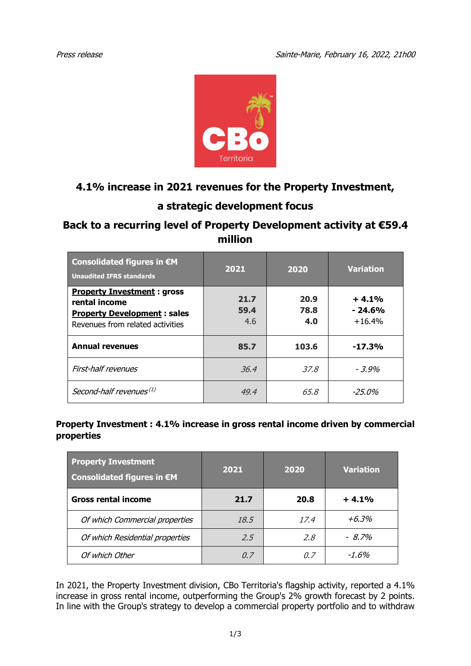

## **4.1% increase in 2021 revenues for the Property Investment,**

# **a strategic development focus**

## **Back to a recurring level of Property Development activity at €59.4 million**

| Consolidated figures in €M<br><b>Unaudited IFRS standards</b>                                                                | 2021                | 2020                | <b>Variation</b>                |
|------------------------------------------------------------------------------------------------------------------------------|---------------------|---------------------|---------------------------------|
| <b>Property Investment: gross</b><br>rental income<br><b>Property Development: sales</b><br>Revenues from related activities | 21.7<br>59.4<br>4.6 | 20.9<br>78.8<br>4.0 | $+4.1%$<br>$-24.6%$<br>$+16.4%$ |
| <b>Annual revenues</b>                                                                                                       | 85.7                | 103.6               | $-17.3%$                        |
| First-half revenues                                                                                                          | 36.4                | 37.8                | $-3.9\%$                        |
| Second-half revenues <sup>(1)</sup>                                                                                          | 49.4                | 65.8                | $-25.0\%$                       |

### **Property Investment : 4.1% increase in gross rental income driven by commercial properties**

| <b>Property Investment</b><br>Consolidated figures in €M | 2021 | 2020 | <b>Variation</b> |
|----------------------------------------------------------|------|------|------------------|
| <b>Gross rental income</b>                               | 21.7 | 20.8 | $+4.1%$          |
| Of which Commercial properties                           | 18.5 | 17.4 | $+6.3\%$         |
| Of which Residential properties                          | 2.5  | 2.8  | $-8.7\%$         |
| Of which Other                                           | 0. Z | 0. Z | $-1.6\%$         |

In 2021, the Property Investment division, CBo Territoria's flagship activity, reported a 4.1% increase in gross rental income, outperforming the Group's 2% growth forecast by 2 points. In line with the Group's strategy to develop a commercial property portfolio and to withdraw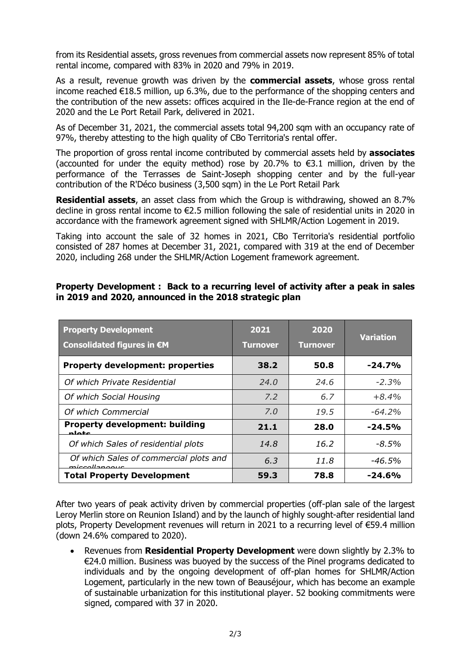from its Residential assets, gross revenues from commercial assets now represent 85% of total rental income, compared with 83% in 2020 and 79% in 2019.

As a result, revenue growth was driven by the **commercial assets**, whose gross rental income reached €18.5 million, up 6.3%, due to the performance of the shopping centers and the contribution of the new assets: offices acquired in the Ile-de-France region at the end of 2020 and the Le Port Retail Park, delivered in 2021.

As of December 31, 2021, the commercial assets total 94,200 sqm with an occupancy rate of 97%, thereby attesting to the high quality of CBo Territoria's rental offer.

The proportion of gross rental income contributed by commercial assets held by **associates**  (accounted for under the equity method) rose by 20.7% to €3.1 million, driven by the performance of the Terrasses de Saint-Joseph shopping center and by the full-year contribution of the R'Déco business (3,500 sqm) in the Le Port Retail Park

**Residential assets**, an asset class from which the Group is withdrawing, showed an 8.7% decline in gross rental income to €2.5 million following the sale of residential units in 2020 in accordance with the framework agreement signed with SHLMR/Action Logement in 2019.

Taking into account the sale of 32 homes in 2021, CBo Territoria's residential portfolio consisted of 287 homes at December 31, 2021, compared with 319 at the end of December 2020, including 268 under the SHLMR/Action Logement framework agreement.

### **Property Development : Back to a recurring level of activity after a peak in sales in 2019 and 2020, announced in the 2018 strategic plan**

| <b>Property Development</b>                             | 2021            | 2020            | <b>Variation</b> |
|---------------------------------------------------------|-----------------|-----------------|------------------|
| Consolidated figures in €M                              | <b>Turnover</b> | <b>Turnover</b> |                  |
| <b>Property development: properties</b>                 | 38.2            | 50.8            | $-24.7%$         |
| Of which Private Residential                            | 24.0            | 24.6            | $-2.3%$          |
| Of which Social Housing                                 | 7.2             | 6.7             | $+8.4%$          |
| Of which Commercial                                     | 7.0             | 19.5            | $-64.2%$         |
| <b>Property development: building</b><br>مقملم          | 21.1            | 28.0            | $-24.5%$         |
| Of which Sales of residential plots                     | 14.8            | 16.2            | $-8.5\%$         |
| Of which Sales of commercial plots and<br>miccollongous | 6,3             | 11.8            | -46.5%           |
| <b>Total Property Development</b>                       | 59.3            | 78.8            | $-24.6%$         |

After two years of peak activity driven by commercial properties (off-plan sale of the largest Leroy Merlin store on Reunion Island) and by the launch of highly sought-after residential land plots, Property Development revenues will return in 2021 to a recurring level of €59.4 million (down 24.6% compared to 2020).

• Revenues from **Residential Property Development** were down slightly by 2.3% to €24.0 million. Business was buoyed by the success of the Pinel programs dedicated to individuals and by the ongoing development of off-plan homes for SHLMR/Action Logement, particularly in the new town of Beauséjour, which has become an example of sustainable urbanization for this institutional player. 52 booking commitments were signed, compared with 37 in 2020.